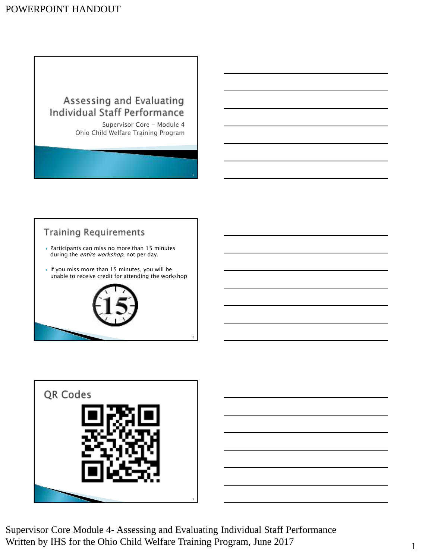# Assessing and Evaluating **Individual Staff Performance**

Supervisor Core - Module 4 Ohio Child Welfare Training Program

# **Training Requirements**

- $\triangleright$  Participants can miss no more than 15 minutes during the *entire workshop*, not per day.
- If you miss more than 15 minutes, you will be unable to receive credit for attending the workshop







Supervisor Core Module 4- Assessing and Evaluating Individual Staff Performance Written by IHS for the Ohio Child Welfare Training Program, June 2017 1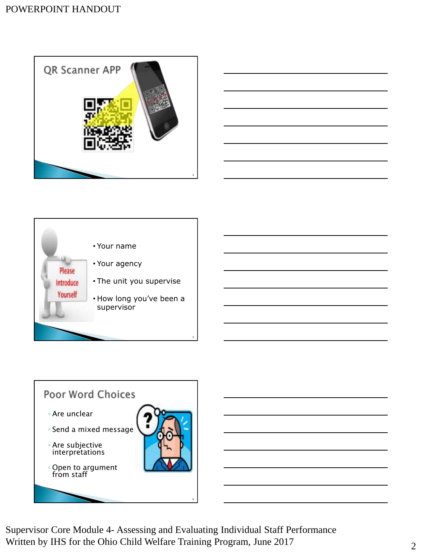





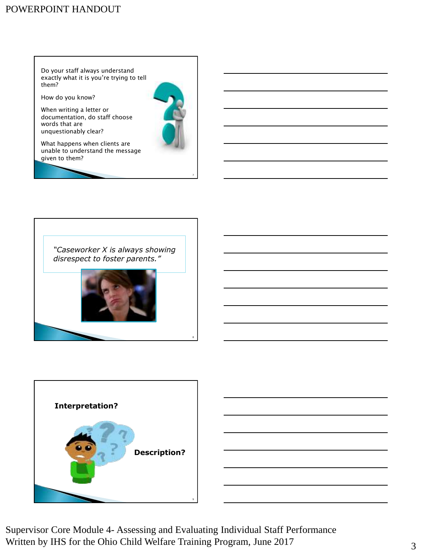# POWERPOINT HANDOUT

Do your staff always understand exactly what it is you're trying to tell them?

How do you know?

When writing a letter or documentation, do staff choose words that are unquestionably clear?



What happens when clients are unable to understand the message given to them?





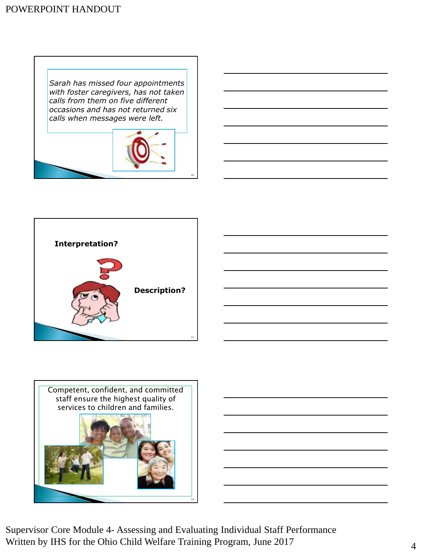*Sarah has missed four appointments with foster caregivers, has not taken calls from them on five different occasions and has not returned six calls when messages were left.*









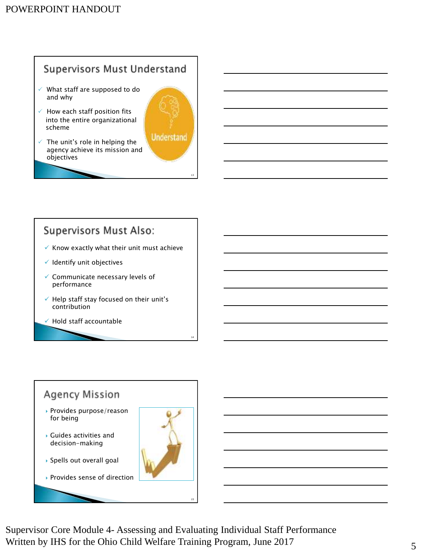# **Supervisors Must Understand**

- $\checkmark$  What staff are supposed to do and why
- $\checkmark$  How each staff position fits into the entire organizational scheme
- The unit's role in helping the agency achieve its mission and objectives

# **Supervisors Must Also:**

- $\checkmark$  Know exactly what their unit must achieve
- ✓ Identify unit objectives
- ✓ Communicate necessary levels of performance
- ✓ Help staff stay focused on their unit's contribution
- ✓ Hold staff accountable

# **Agency Mission**  Provides purpose/reason for being Guides activities and decision-making Spells out overall goal Provides sense of direction

Supervisor Core Module 4- Assessing and Evaluating Individual Staff Performance Written by IHS for the Ohio Child Welfare Training Program, June 2017 5

15

13

**Understand**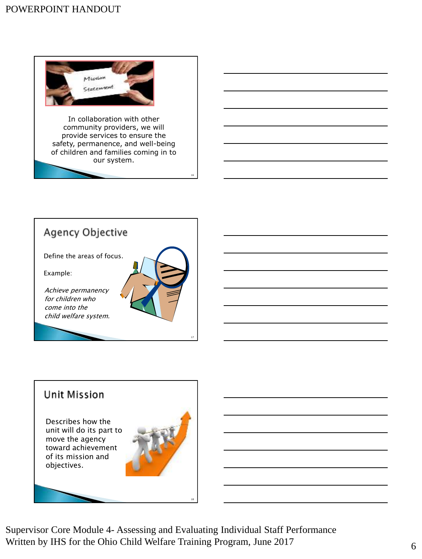

community providers, we will provide services to ensure the safety, permanence, and well-being of children and families coming in to our system.



# **Unit Mission**

Describes how the unit will do its part to move the agency toward achievement of its mission and objectives.



16

Supervisor Core Module 4- Assessing and Evaluating Individual Staff Performance Written by IHS for the Ohio Child Welfare Training Program, June 2017 6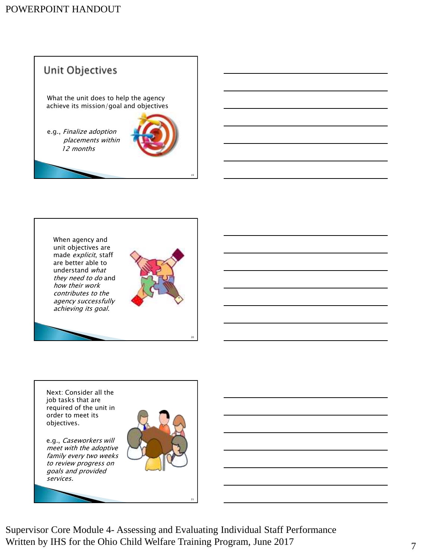



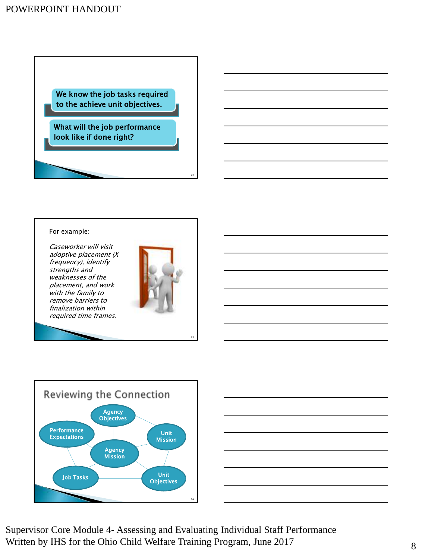We know the job tasks required to the achieve unit objectives.

What will the job performance look like if done right?

#### For example:

Caseworker will visit adoptive placement (X frequency), identify strengths and weaknesses of the placement, and work with the family to remove barriers to finalization within required time frames.



22

23



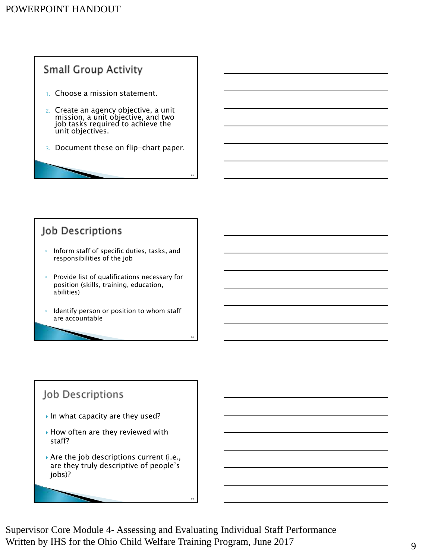

# Job Descriptions

- Inform staff of specific duties, tasks, and responsibilities of the job
- Provide list of qualifications necessary for position (skills, training, education, abilities)
- Identify person or position to whom staff are accountable

# Job Descriptions

- In what capacity are they used?
- ▶ How often are they reviewed with staff?
- Are the job descriptions current (i.e., are they truly descriptive of people's jobs)?



Supervisor Core Module 4- Assessing and Evaluating Individual Staff Performance Written by IHS for the Ohio Child Welfare Training Program, June 2017

27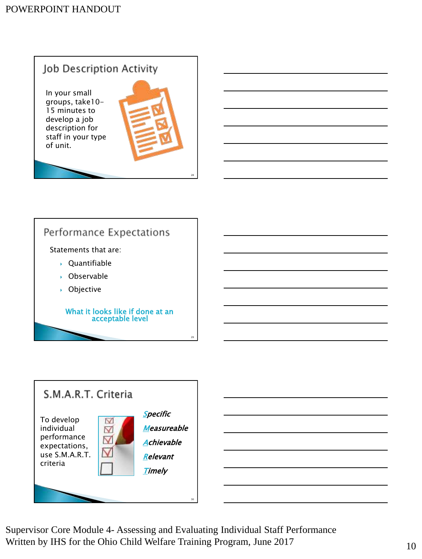# Job Description Activity

In your small groups, take10- 15 minutes to develop a job description for staff in your type of unit.



28

29



# Performance Expectations

Statements that are:

- $\rightarrow$  Ouantifiable
- Observable
- Objective

What it looks like if done at an acceptable level



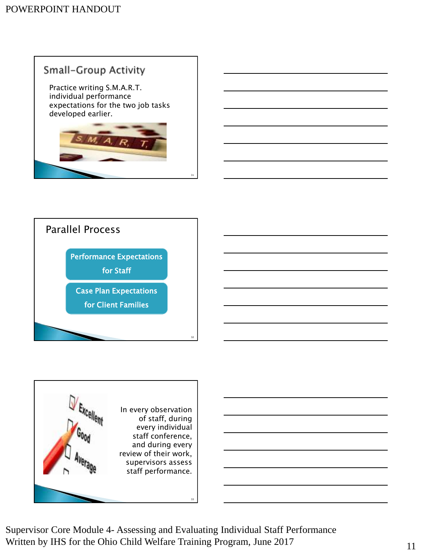# **Small-Group Activity**

Practice writing S.M.A.R.T. individual performance expectations for the two job tasks developed earlier.



31



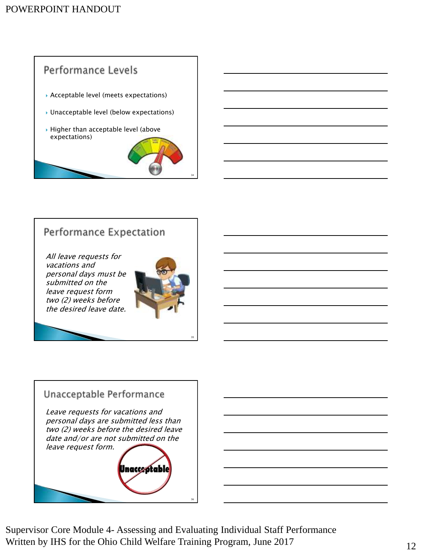

# Performance Expectation

All leave requests for vacations and personal days must be submitted on the leave request form two (2) weeks before the desired leave date.



35

# Unacceptable Performance Leave requests for vacations and personal days are submitted less than two (2) weeks before the desired leave date and/or are not submitted on the leave request form. Jnacce otable 36

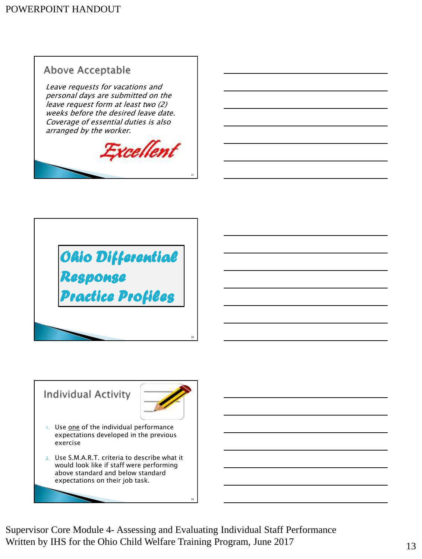

Leave requests for vacations and personal days are submitted on the leave request form at least two (2) weeks before the desired leave date. Coverage of essential duties is also arranged by the worker.



37





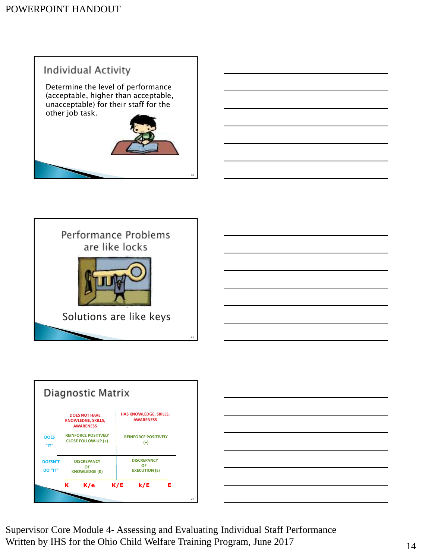



|                           | Diagnostic Matrix                                                     |                                                  |   |
|---------------------------|-----------------------------------------------------------------------|--------------------------------------------------|---|
|                           | <b>DOES NOT HAVE</b><br><b>KNOWLEDGE, SKILLS,</b><br><b>AWARENESS</b> | HAS KNOWLEDGE, SKILLS,<br><b>AWARENESS</b>       |   |
| <b>DOES</b><br>"IT"       | <b>REINFORCE POSITIVELY</b><br><b>CLOSE FOLLOW-UP (+)</b>             | <b>REINFORCE POSITIVELY</b><br>$(+)$             |   |
| <b>DOESN'T</b><br>DO "IT" | <b>DISCREPANCY</b><br>OF<br><b>KNOWLEDGE (K)</b>                      | <b>DISCREPANCY</b><br>OF<br><b>EXECUTION (E)</b> |   |
|                           | K/e<br>ĸ                                                              | k/E<br>K/E                                       | Е |
|                           |                                                                       |                                                  |   |

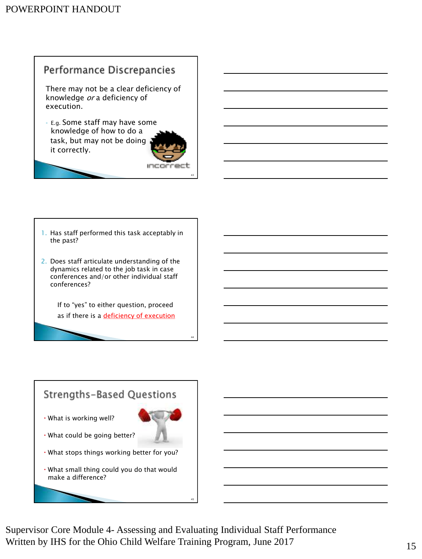# Performance Discrepancies

There may not be a clear deficiency of knowledge or a deficiency of execution.

◦ E.g. Some staff may have some knowledge of how to do a task, but may not be doing it correctly.



43

44

- 1. Has staff performed this task acceptably in the past?
- 2. Does staff articulate understanding of the dynamics related to the job task in case conferences and/or other individual staff conferences?

If to "yes" to either question, proceed as if there is a deficiency of execution



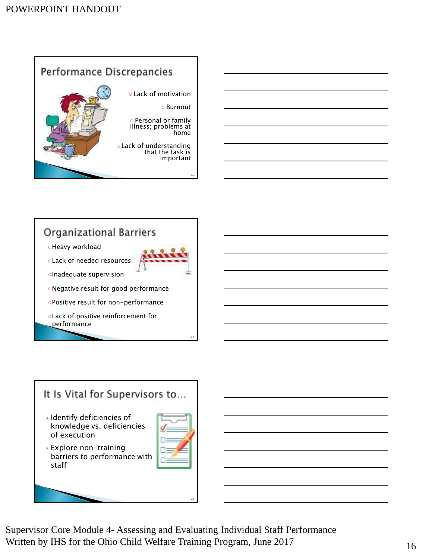

# **Organizational Barriers**

- ○Heavy workload
- ○Lack of needed resources
- ○Inadequate supervision
- ○Negative result for good performance
- ○Positive result for non-performance
- ○Lack of positive reinforcement for performance

# It Is Vital for Supervisors to...

- Identify deficiencies of knowledge vs. deficiencies of execution
- 

47

 Explore non-training barriers to performance with staff



48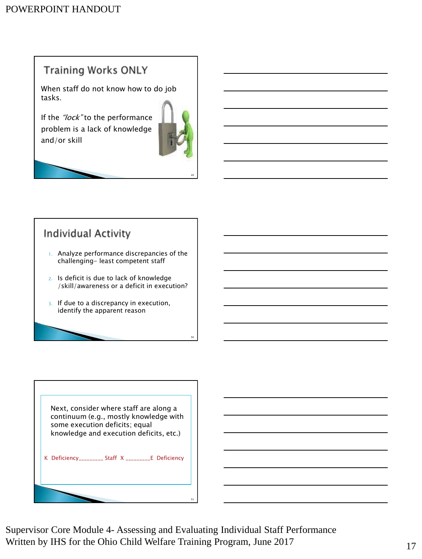# **Training Works ONLY**

When staff do not know how to do job tasks.

If the "lock" to the performance problem is a lack of knowledge and/or skill



49

50

# **Individual Activity**

- 1. Analyze performance discrepancies of the challenging- least competent staff
- 2. Is deficit is due to lack of knowledge /skill/awareness or a deficit in execution?
- 3. If due to a discrepancy in execution, identify the apparent reason



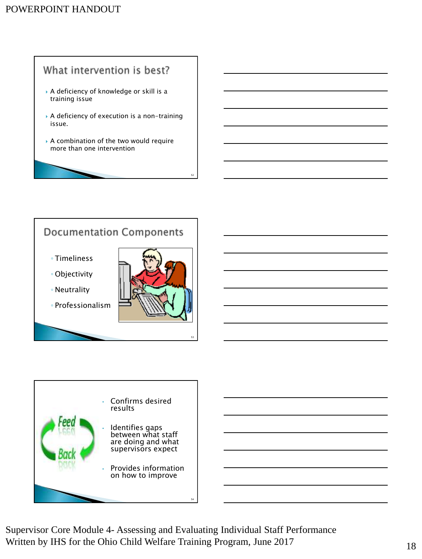# What intervention is best?

- A deficiency of knowledge or skill is a training issue
- A deficiency of execution is a non-training issue.
- A combination of the two would require more than one intervention

# **Documentation Components**

- Timeliness
- Objectivity
- Neutrality
- Professionalism



52

53



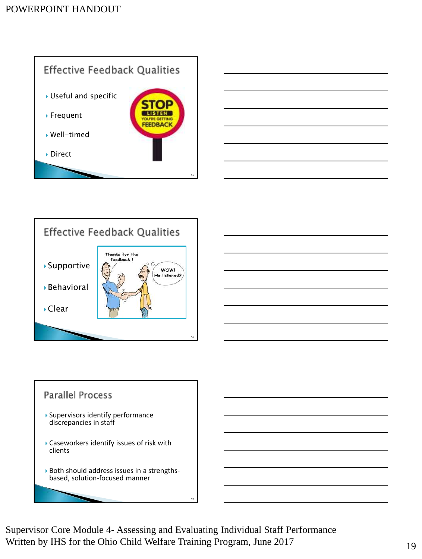









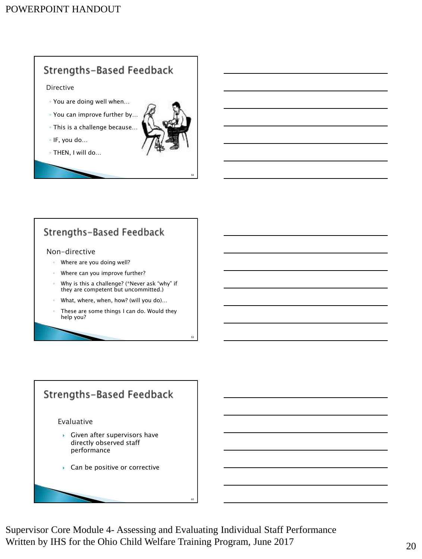# Strengths-Based Feedback

Directive

- You are doing well when…
- You can improve further by…
- This is a challenge because…
- IF, you do…
- THEN, I will do…



58

59

# Strengths-Based Feedback

#### Non-directive

- Where are you doing well?
- Where can you improve further?
- Why is this a challenge? (\*Never ask "why" if they are competent but uncommitted.)
- What, where, when, how? (will you do)...
- These are some things I can do. Would they help you?

# Strengths-Based Feedback Evaluative  $\blacktriangleright$  Given after supervisors have directly observed staff performance ▶ Can be positive or corrective

Supervisor Core Module 4- Assessing and Evaluating Individual Staff Performance Written by IHS for the Ohio Child Welfare Training Program, June 2017 20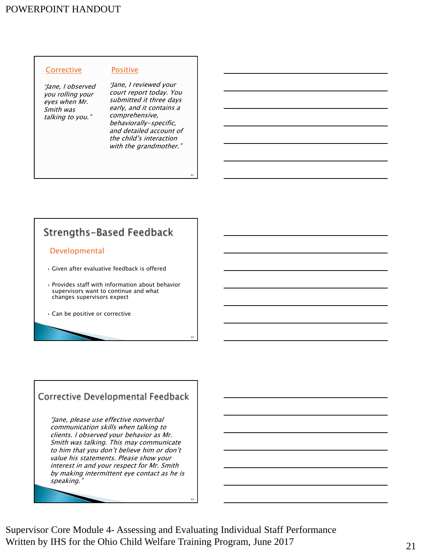## POWERPOINT HANDOUT

#### **Corrective**

"Jane, I observed you rolling your eyes when Mr. Smith was talking to you."

"Jane, I reviewed your court report today. You submitted it three days early, and it contains a comprehensive, behaviorally-specific, and detailed account of the child's interaction with the grandmother."

61

62

Positive

# Strengths-Based Feedback

#### Developmental

- Given after evaluative feedback is offered
- Provides staff with information about behavior supervisors want to continue and what changes supervisors expect
- ▶ Can be positive or corrective

## Corrective Developmental Feedback

"Jane, please use effective nonverbal communication skills when talking to clients. I observed your behavior as Mr. Smith was talking. This may communicate to him that you don't believe him or don't value his statements. Please show your interest in and your respect for Mr. Smith by making intermittent eye contact as he is speaking."



Supervisor Core Module 4- Assessing and Evaluating Individual Staff Performance Written by IHS for the Ohio Child Welfare Training Program, June 2017 21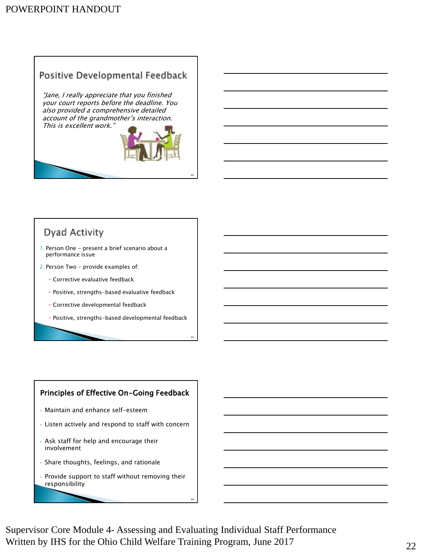# Positive Developmental Feedback

"Jane, I really appreciate that you finished your court reports before the deadline. You also provided a comprehensive detailed account of the grandmother's interaction. This is excellent work."



64

65

# Dyad Activity

1. Person One - present a brief scenario about a performance issue

2. Person Two - provide examples of:

- Corrective evaluative feedback
- Positive, strengths-based evaluative feedback
- Corrective developmental feedback
- Positive, strengths-based developmental feedback

### Principles of Effective On-Going Feedback

- Maintain and enhance self-esteem
- Listen actively and respond to staff with concern
- Ask staff for help and encourage their involvement
- Share thoughts, feelings, and rationale
- Provide support to staff without removing their responsibility

Supervisor Core Module 4- Assessing and Evaluating Individual Staff Performance Written by IHS for the Ohio Child Welfare Training Program, June 2017 22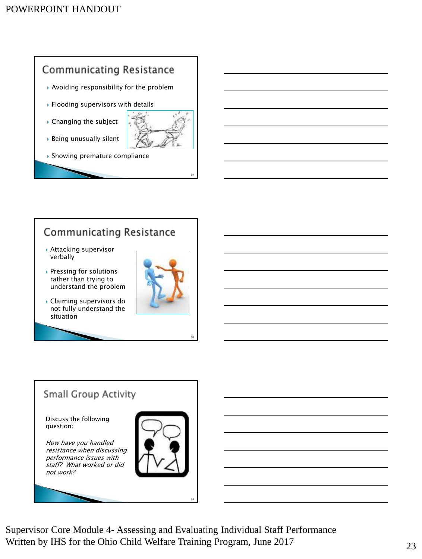

# **Communicating Resistance**

- Attacking supervisor verbally
- ▶ Pressing for solutions rather than trying to understand the problem
- Claiming supervisors do not fully understand the situation



68

# **Small Group Activity**

Discuss the following question:

How have you handled resistance when discussing performance issues with staff? What worked or did not work?



Supervisor Core Module 4- Assessing and Evaluating Individual Staff Performance Written by IHS for the Ohio Child Welfare Training Program, June 2017 23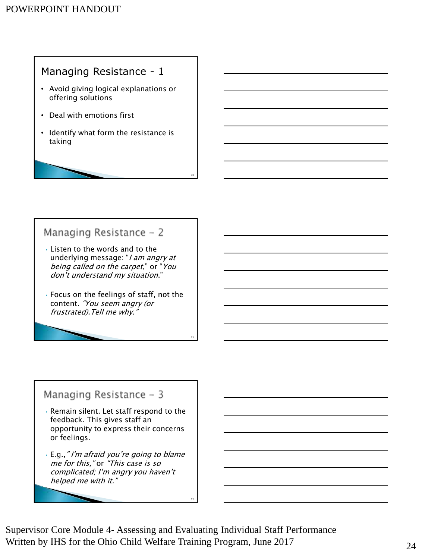# Managing Resistance - 1

- Avoid giving logical explanations or offering solutions
- Deal with emotions first
- Identify what form the resistance is taking

# Managing Resistance - 2

- Listen to the words and to the underlying message: "I am angry at being called on the carpet," or "You don't understand my situation."
- Focus on the feelings of staff, not the content. "You seem angry (or frustrated).Tell me why."

# Managing Resistance - 3

- Remain silent. Let staff respond to the feedback. This gives staff an opportunity to express their concerns or feelings.
- E.g.," I'm afraid you're going to blame me for this," or "This case is so complicated; I'm angry you haven't helped me with it."

Supervisor Core Module 4- Assessing and Evaluating Individual Staff Performance Written by IHS for the Ohio Child Welfare Training Program, June 2017 24

72

70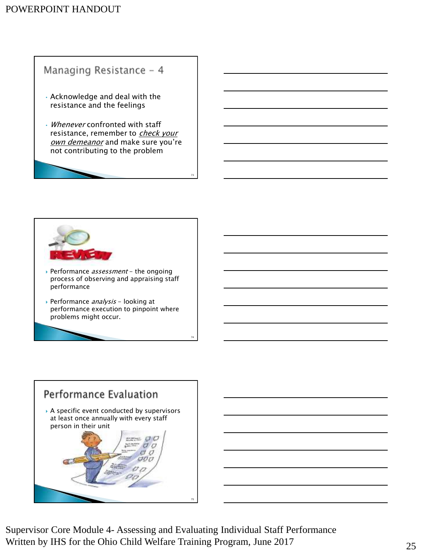## POWERPOINT HANDOUT

# Managing Resistance - 4

- Acknowledge and deal with the resistance and the feelings
- Whenever confronted with staff resistance, remember to check your own demeanor and make sure you're not contributing to the problem

73

74



- Performance *assessment* the ongoing process of observing and appraising staff performance
- Performance *analysis* looking at performance execution to pinpoint where problems might occur.



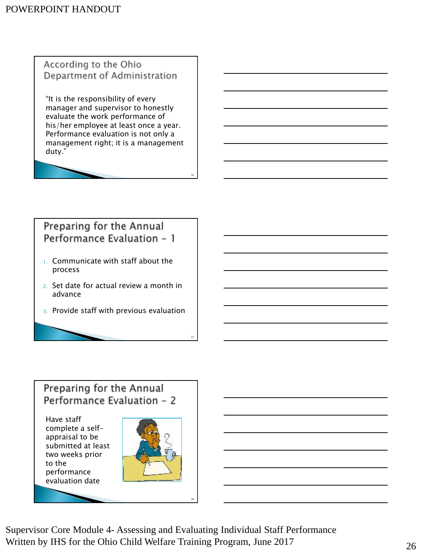According to the Ohio Department of Administration

"It is the responsibility of every manager and supervisor to honestly evaluate the work performance of his/her employee at least once a year. Performance evaluation is not only a management right; it is a management duty."

76

77

# Preparing for the Annual Performance Evaluation - 1

- 1. Communicate with staff about the process
- 2. Set date for actual review a month in advance
- 3. Provide staff with previous evaluation

# Preparing for the Annual Performance Evaluation - 2

Have staff complete a selfappraisal to be submitted at least two weeks prior to the performance evaluation date



Supervisor Core Module 4- Assessing and Evaluating Individual Staff Performance Written by IHS for the Ohio Child Welfare Training Program, June 2017 26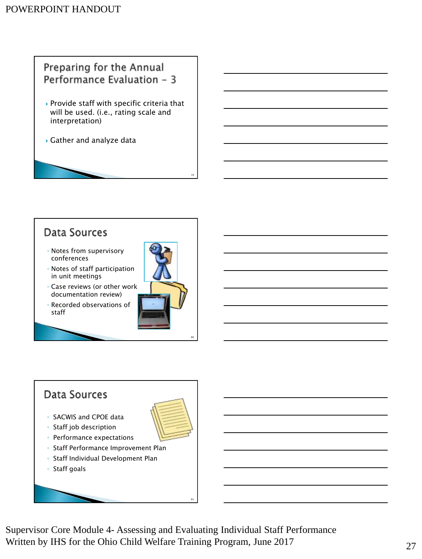# Preparing for the Annual Performance Evaluation - 3

- $\rightarrow$  Provide staff with specific criteria that will be used. (i.e., rating scale and interpretation)
- Gather and analyze data

# Data Sources

- Notes from supervisory conferences
- Notes of staff participation in unit meetings
- Case reviews (or other work documentation review)
- Recorded observations of staff



79

80

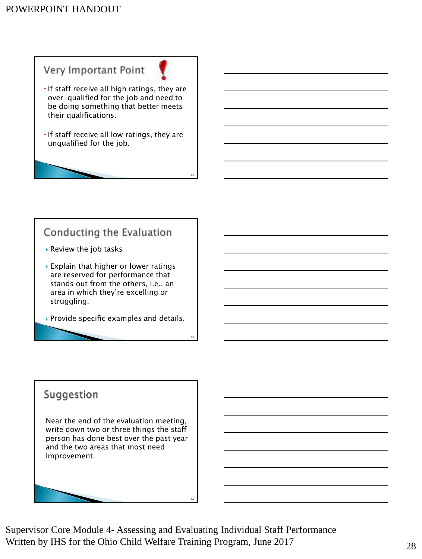# Very Important Point

- $\cdot$  If staff receive all high ratings, they are over-qualified for the job and need to be doing something that better meets their qualifications.
- $\cdot$  If staff receive all low ratings, they are unqualified for the job.

82

83

# Conducting the Evaluation

- Review the job tasks
- Explain that higher or lower ratings are reserved for performance that stands out from the others, i.e., an area in which they're excelling or struggling.
- Provide specific examples and details.

# Suggestion

Near the end of the evaluation meeting, write down two or three things the staff person has done best over the past year and the two areas that most need improvement.

Supervisor Core Module 4- Assessing and Evaluating Individual Staff Performance Written by IHS for the Ohio Child Welfare Training Program, June 2017 28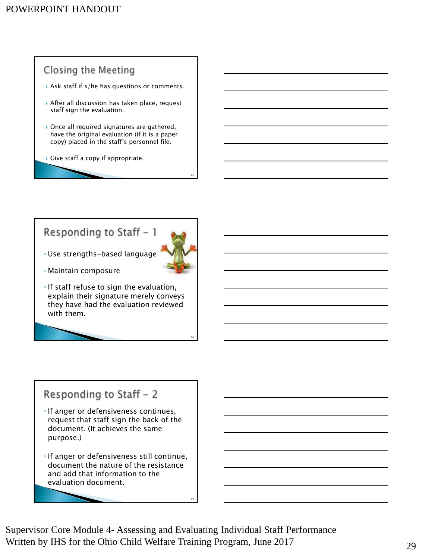# **Closing the Meeting**

- Ask staff if s/he has questions or comments.
- After all discussion has taken place, request staff sign the evaluation.
- ▶ Once all required signatures are gathered, have the original evaluation (if it is a paper copy) placed in the staff's personnel file.
- $\triangleright$  Give staff a copy if appropriate.

# Responding to Staff - 1



85

86

◦ Use strengths-based language

- Maintain composure
- If staff refuse to sign the evaluation, explain their signature merely conveys they have had the evaluation reviewed with them.

# Responding to Staff - 2

- If anger or defensiveness continues, request that staff sign the back of the document. (It achieves the same purpose.)
- If anger or defensiveness still continue, document the nature of the resistance and add that information to the evaluation document.

Supervisor Core Module 4- Assessing and Evaluating Individual Staff Performance Written by IHS for the Ohio Child Welfare Training Program, June 2017 29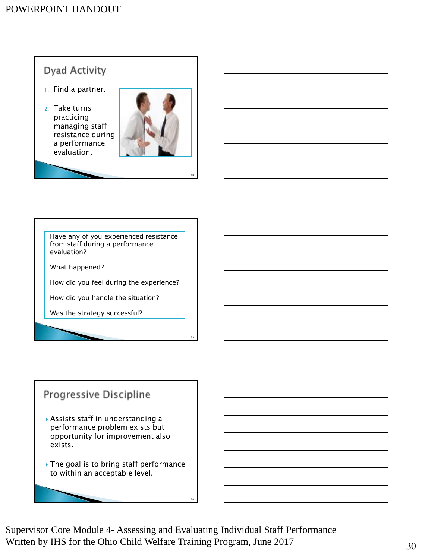# **Dyad Activity**

- 1. Find a partner.
- 2. Take turns practicing managing staff resistance during a performance evaluation.



88

89

Have any of you experienced resistance from staff during a performance evaluation?

What happened?

How did you feel during the experience?

How did you handle the situation?

Was the strategy successful?

# Progressive Discipline

- Assists staff in understanding a performance problem exists but opportunity for improvement also exists.
- The goal is to bring staff performance to within an acceptable level.

Supervisor Core Module 4- Assessing and Evaluating Individual Staff Performance Written by IHS for the Ohio Child Welfare Training Program, June 2017 30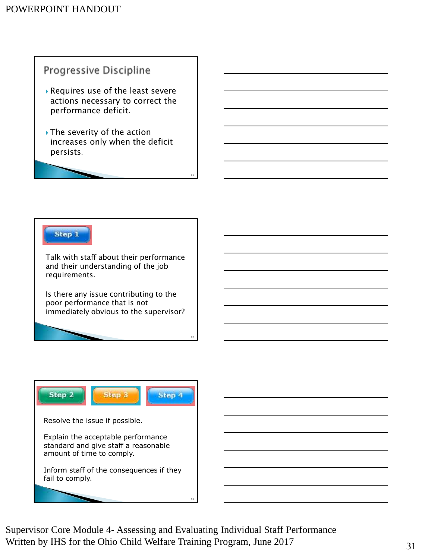# Progressive Discipline

- Requires use of the least severe actions necessary to correct the performance deficit.
- ▶ The severity of the action increases only when the deficit persists.

91

92

Step 1

Talk with staff about their performance and their understanding of the job requirements.

Is there any issue contributing to the poor performance that is not immediately obvious to the supervisor?



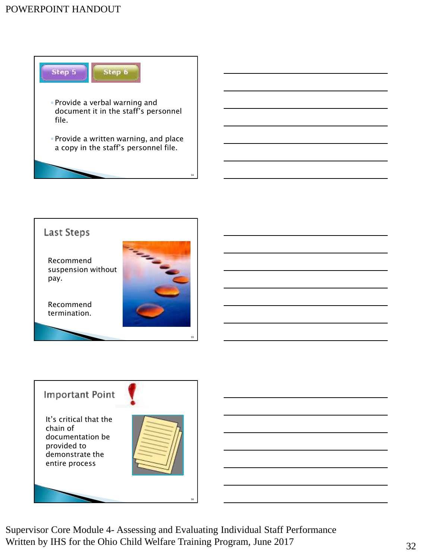# POWERPOINT HANDOUT







Supervisor Core Module 4- Assessing and Evaluating Individual Staff Performance Written by IHS for the Ohio Child Welfare Training Program, June 2017 32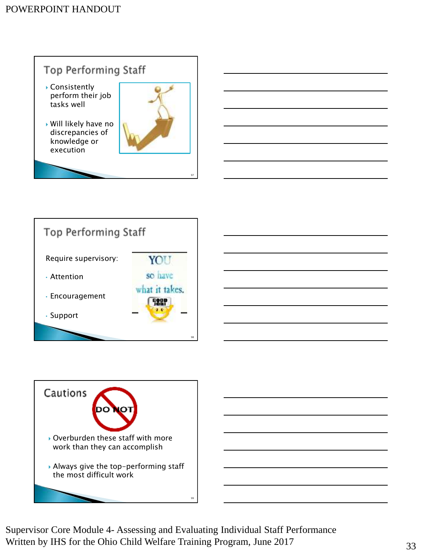





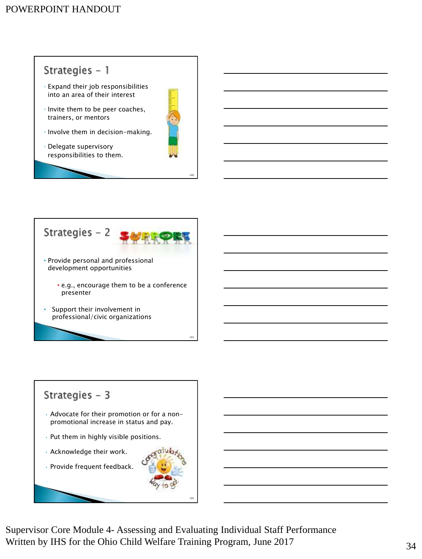# Strategies - 1 ◦ Expand their job responsibilities into an area of their interest ◦ Invite them to be peer coaches, trainers, or mentors ◦ Involve them in decision-making. ◦ Delegate supervisory responsibilities to them.

100



# Strategies  $-3$

- Advocate for their promotion or for a nonpromotional increase in status and pay.
- Put them in highly visible positions.
- Acknowledge their work.
- Provide frequent feedback.

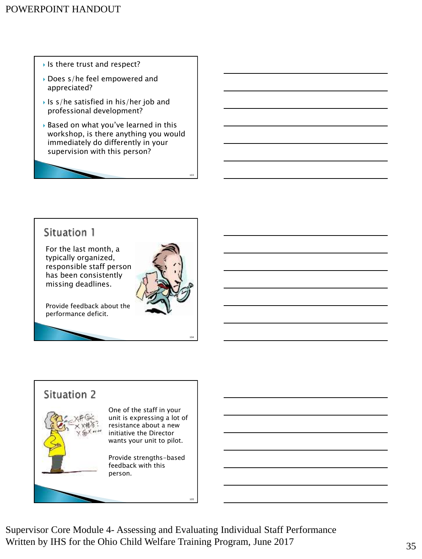- Is there trust and respect?
- Does s/he feel empowered and appreciated?
- Is s/he satisfied in his/her job and professional development?
- Based on what you've learned in this workshop, is there anything you would immediately do differently in your supervision with this person?

# Situation 1

For the last month, a typically organized, responsible staff person has been consistently missing deadlines.

Provide feedback about the performance deficit.

103

104

# Situation 2



One of the staff in your unit is expressing a lot of resistance about a new initiative the Director wants your unit to pilot.

Provide strengths-based feedback with this person.

Supervisor Core Module 4- Assessing and Evaluating Individual Staff Performance Written by IHS for the Ohio Child Welfare Training Program, June 2017 35